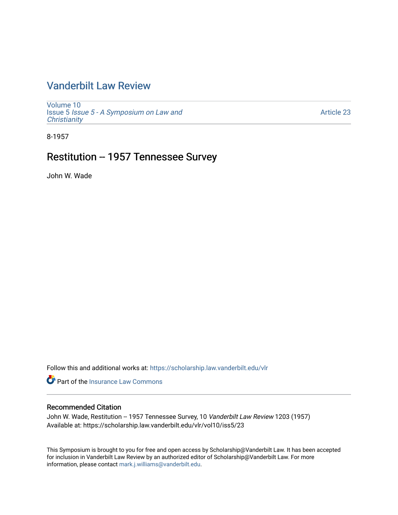# [Vanderbilt Law Review](https://scholarship.law.vanderbilt.edu/vlr)

[Volume 10](https://scholarship.law.vanderbilt.edu/vlr/vol10) Issue 5 [Issue 5 - A Symposium on Law and](https://scholarship.law.vanderbilt.edu/vlr/vol10/iss5) **Christianity** 

[Article 23](https://scholarship.law.vanderbilt.edu/vlr/vol10/iss5/23) 

8-1957

## Restitution -- 1957 Tennessee Survey

John W. Wade

Follow this and additional works at: [https://scholarship.law.vanderbilt.edu/vlr](https://scholarship.law.vanderbilt.edu/vlr?utm_source=scholarship.law.vanderbilt.edu%2Fvlr%2Fvol10%2Fiss5%2F23&utm_medium=PDF&utm_campaign=PDFCoverPages)

**C** Part of the [Insurance Law Commons](http://network.bepress.com/hgg/discipline/607?utm_source=scholarship.law.vanderbilt.edu%2Fvlr%2Fvol10%2Fiss5%2F23&utm_medium=PDF&utm_campaign=PDFCoverPages)

## Recommended Citation

John W. Wade, Restitution -- 1957 Tennessee Survey, 10 Vanderbilt Law Review 1203 (1957) Available at: https://scholarship.law.vanderbilt.edu/vlr/vol10/iss5/23

This Symposium is brought to you for free and open access by Scholarship@Vanderbilt Law. It has been accepted for inclusion in Vanderbilt Law Review by an authorized editor of Scholarship@Vanderbilt Law. For more information, please contact [mark.j.williams@vanderbilt.edu](mailto:mark.j.williams@vanderbilt.edu).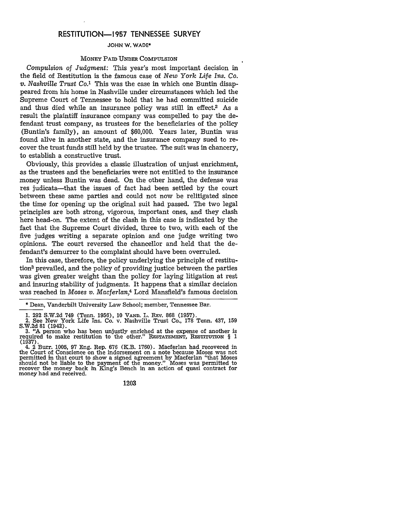## **RESTITUTION-1957 TENNESSEE** SURVEY

#### **JOHN** W. WADE\*

#### MONEY PAID UNDER COMPULSION

*Compulsion of Judgment:* This year's most important decision in the field of Restitution is the famous case of *New York Life Ins. Co. v. Nashville Trust* Co.' This was the case in which one Buntin disappeared from his home in Nashville under circumstances which led the Supreme Court of Tennessee to hold that he had committed suicide and thus died while an insurance policy was still in effect.2 As a result the plaintiff insurance company was compelled to pay the defendant trust company, as trustees for the beneficiaries of the policy (Buntin's family), an amount of \$60,000. Years later, Buntin was found alive in another state, and the insurance company sued to recover the trust funds still held by the trustee. The suit was in chancery, to establish a constructive trust.

Obviously, this provides a classic illustration of unjust enrichment, as the trustees and the beneficiaries were not entitled to the insurance money unless Buntin was dead. On the other hand, the defense was res judicata-that the issues of fact had been settled by the court between these same parties and could not now be relitigated since the time for opening up the original suit had passed. The two legal principles are both strong, vigorous, important ones, and they clash here head-on. The extent of the clash in this case is indicated by the fact that the Supreme Court divided, three to two, with each of the five judges writing a separate opinion and one judge writing two opinions. The court reversed the chancellor and held that the defendant's demurrer to the complaint should have been overruled.

In this case, therefore, the policy underlying the principle of restitution3 prevailed, and the policy of providing justice between the parties was given greater weight than the policy for laying litigation at rest and insuring stability of judgments. It happens that a similar decision was reached in *Moses v. Macferlan,4* Lord Mansfield's famous decision

**1203**

<sup>\*</sup> Dean, Vanderbilt University Law School; member, Tennessee Bar.

<sup>1. 292</sup> S.W.2d 749 (Tenn. 1956), 10 **VAND.** L. REV. 868 (1957). 2. See New York Life Ins. Co. v. Nashville Trust Co., 178 Tenn. 437, 159 S.W.2d 81 (1942). **3.** "A person who has been unjustly enriched at the expense of another is

required to make restitution to the other." RESTATEMENT, **RESTITUTION** § 1 **(1937).** 4. 2 Burr. **1005, 97** Eng. Rep. **676** (K.B. **1760).** Macferlan had recovered in

the Court of Conscience on the indorsement on a note because Moses was not permitted in that court to show a signed agreement **by** Macferlan "that Moses should not be liable to the payment of the money." Moses was permitted to recover the money back in King's Bench in an action of quasi contract for money had and received.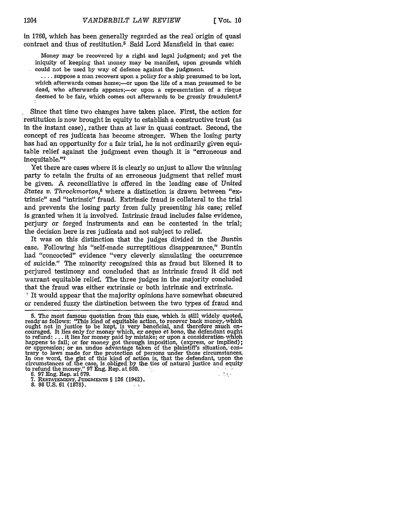in 1760, which has been generally regarded as the real origin of quasi contract and thus of restitution.5 Said Lord Mansfield in that case:

Money may be recovered by a right and legal judgment; and yet the iniquity of keeping that money may be manifest, upon grounds which could not be used by way of defence against the judgment.

.... Suppose a man recovers upon a policy for a ship presumed to be lost, which afterwards comes home;- or upon the life of a man presumed to be dead, who afterwards appears;- or upon a representation of a risque deemed to be fair, which comes out afterwards to be grossly fraudulent.<sup>6</sup>

Since that time two changes have taken place. First, the action for restitution is now brought in equity to establish a constructive trust (as in the instant case), rather than at law in quasi contract. Second, the concept of res judicata has become stronger. When the losing party has had an opportunity for a fair trial, he is not ordinarily given equitable relief against the judgment even though it is "erroneous and inequitable."<sup>7</sup>

Yet there are cases where it is clearly so unjust to allow the winning party to retain the fruits of an erroneous judgment that relief must be given. A reconciliative is offered in the leading case of *United States v. Throckmorton,8* where a distinction is drawn between "extrinsic" and "intrinsic" fraud. Extrinsic fraud is collateral to the trial and prevents the losing party from fully presenting his case; relief is granted when it is involved. Intrinsic fraud includes false evidence, perjury or forged instruments and can be contested in the trial; the decision here is res judicata and not subject to relief.

It was on this distinction that the judges divided in the *Buntin* case. Following his "self-made surreptitious disappearance," Buntin had "concocted" evidence "very cleverly simulating the occurrence of suicide." The minority recognized this as fraud but likened it to perjured testimony and concluded that as intrinsic fraud it did not warrant equitable relief. The three judges in the majority concluded that the fraud was either extrinsic or both intrinsic and extrinsic.

' It would appear that the majority opinions have somewhat obscured or rendered fuzzy the distinction between the two types of fraud and

<sup>5.</sup> The most famous quotation from this case, which is still widely quoted, reads as follows: "This kind of equitable action, to recover back money, which ought not in justice to be kept, is very beneficial, and therefore m cQuraged. It lies only for money which, ex *aequo et bono,* the defendant ought to refund, **. . .** it lies for money paid by mistake; or upon a consideration. whioh happens to fail; or for money got through imposition, (express, or implied) or oppression; or an undue advantage taken of the plaintiff's situation,' contrary to laws made for the protection of persons under those circumstances. In one word, the gist of this kind of action is, that the defendant, upon the circumstances of the case, is obliged by the ties of natural justice and equity to refund the money." **97** Eng. Rep. at 680. **6.** 97 Eng. Rep. at 679.

<sup>7.</sup> **RESTATEMENT, JUDGMENTS** § 126 (1942). 8. 98 U.S. 61 (1878). , **<sup>k</sup>**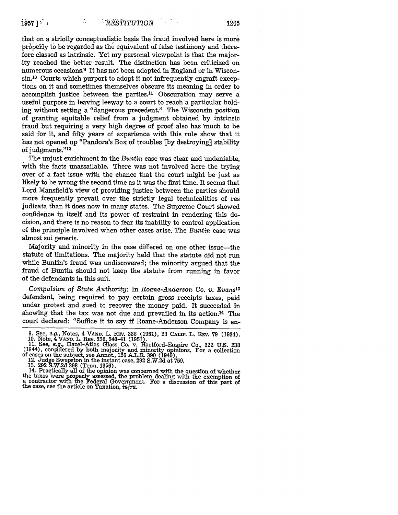that on a strictly conceptualistic basis the fraud involved here is more properly to be regarded as the equivalent of false testimony and therefore classed as intrinsic. Yet my personal viewpoint is that the majority reached the better result. The distinction has been criticized on numerous occasions.9 It has not been adopted in England or in Wisconsin<sup>10</sup> Courts which purport to adopt it not infrequently engraft exceptions on it and sometimes themselves obscure its meaning in order to accomplish justice between the parties.<sup>11</sup> Obscuration may serve a useful purpose in leaving leeway to a court to reach a particular holding without setting a "dangerous precedent." The Wisconsin position of granting equitable relief from a judgment obtained **by** intrinsic fraud but requiring a very high degree of proof also has much to be said for it, and fifty years of experience with this rule show that it has not opened up "Pandora's Box of troubles **[by** destroying] stability of judgments."<sup>12</sup>

The unjust enrichment in the *Buntin* case was clear and undeniable, with the facts unassailable. There was not involved here the trying over of a fact issue with the chance that the court might be just as likely to be wrong the second time as it was the first time. It seems that Lord Mansfield's view of providing justice between the parties should more frequently prevail over the strictly legal technicalities of res judicata than it does now in many states. The Supreme Court showed confidence in itself and its power of restraint in rendering this decision,,and there is no reason to fear its inability to control application of the principle involved when other cases arise. The Buntin case was almost sui generis.

Majority and minority in the case differed on one other issue-the statute of limitations. The majority held that the statute did not run while Buntin's fraud was undiscovered; the minority argued that the fraud of Buntin should not keep the statute from running in favor of the defendants in this suit.

*Compulsion of State Authority:* In *Roane-Anderson Co. v. Evans13* defendant, being required to pay certain gross receipts taxes, paid under protest and sued to recover the money paid. It succeeded in showing that the tax was not due and prevailed in its action.14 The court declared: "Suffice it to say if Roane-Anderson Company is en-

<sup>9.</sup> See, e.g., Notes, 4 VAND. L. REV. 338 (1951), 23 CALIF. L. REV. 79 (1934).<br>10. Note, 4 VAND. L. REV. 338, 340-41 (1951).<br>11. See, e.g., Hazel-Atlas Glass Co. v. Hartford-Empire Co., 322 U.S. 238

of cases on the subject, see Annot., **126** A.L.R. **390** (1940). 12. Judge Swepston in the instant case, **292 S.W.2d** at **759.**

**<sup>13. 292</sup> S.W.2d 398** (Tenn. **1956).** 14. Practically all of the opinion was concerned with the question of whether the taxes were properly assessed, the problem dealing with the exemption of a contractor with the Federal Government. For a discussion of this part of the case, see the article on Taxation, *infra.*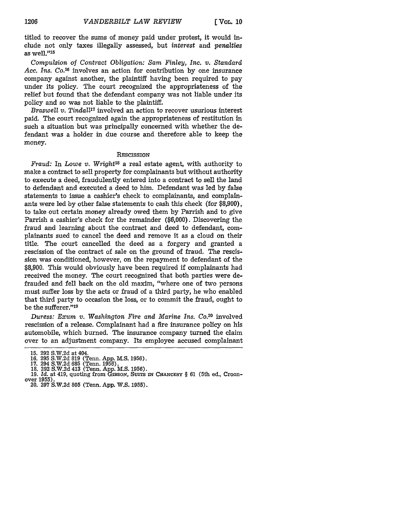titled to recover the sums of money paid under protest, it would include not only taxes illegally assessed, but *interest* and *penalties* as well."'15

*Compulsion of Contract Obligation: Sam Finley, Inc. v. Standard* Acc. *Ins. Co.16* involves an action for contribution by one insurance company against another, the plaintiff having been required to pay under its policy. The court recognized the appropriateness of the relief but found that the defendant company was not liable under its policy and so was not liable to the plaintiff.

*Braswell v. Tindall7* involved an action to recover usurious interest paid. The court recognized again the appropriateness of restitution in such a situation but was principally concerned with whether the defendant was a holder in due course and therefore able to keep the money.

#### **RESCISSION**

*Fraud:* In *Lowe v. Wright18* a real estate agent, with authority to make a contract to sell property for complainants but without authority to execute a deed, fraudulently entered into a contract to sell the land to defendant and executed a deed to him. Defendant was led by false statements to issue a cashier's check to complainants, and complainants were led by other false statements to cash this check (for \$8,900), to take out certain money already owed them by Parrish and to give Parrish a cashier's check for the remainder (\$6,000). Discovering the fraud and learning about the contract and deed to defendant, complainants sued to cancel the deed and remove it as a cloud on their title. The court cancelled the deed as a forgery and granted a rescission of the contract of sale on the ground of fraud. The rescission was conditioned, however, on the repayment to defendant of the \$8,900. This would obviously have been required if complainants had received the money. The court recognized that both parties were defrauded and fell back on the old maxim, "where one of two persons must suffer loss by the acts or fraud of a third party, he who enabled that third party to occasion the loss, or to commit the fraud, ought to be the sufferer."<sup>19</sup>

*Duress: Exum v. Washington Fire and Marine Ins. Co.20* involved rescission of a release. Complainant had a fire insurance policy on his automobile, which burned. The insurance company turned the claim over to an adjustment company. Its employee accused complainant

<sup>15. 292</sup> S.W.2d at 404.

**<sup>16.</sup>** 295 S.W.2d 819 (Tenn. App. M.S. 1956).

<sup>17. 294</sup> S.W.2d 685 (Tenn. 1956).<br>18. 292 S.W.2d 413 (Tenn. App. M.S. 1956).<br>19. *Id.* at 419, quoting from GiBson, SUITS IN CHANCERY § 61 (5th ed., Croon-

over 1955). 20. 297 S.W.2d 805 (Tenn. App. W.S. 1955).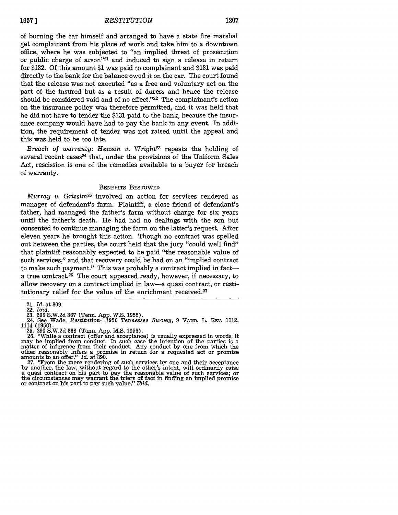### *RESTITUTION* **1957] 1207**

of burning the car himself and arranged to have a state fire marshal get complainant from his place of work and take him to a downtown office, where he was subjected to "an implied threat of prosecution or public charge of arson"21 and induced to sign a release in return for \$132. Of this amount \$1 was paid to complainant and \$131 was paid directly to the bank for the balance owed it on the car. The court found that the release was not executed "as a free and voluntary act on the part of the insured but as a result of duress and hence the release should be considered void and of no effect."<sup>22</sup> The complainant's action on the insurance policy was therefore permitted, and it was held that he did not have to tender the \$131 paid to the bank, because the insurance company would have had to pay the bank in any event. In addition, the requirement of tender was not raised until the appeal and this was held to be too late.

*Breach of warranty: Henson v. Wright*<sup>23</sup> repeats the holding of several recent cases<sup>24</sup> that, under the provisions of the Uniform Sales Act, rescission is one of the remedies available to a buyer for breach of warranty.

#### BENEFITS BESTOWED

*Murray v. Grissim<sup>25</sup>* involved an action for services rendered as manager of defendant's farm. Plaintiff, a close friend of defendant's father, had managed the father's farm without charge for six years until the father's death. **He** had had no dealings with the son but consented to continue managing the farm on the latter's request. After eleven years he brought this action. Though no contract was spelled out between the parties, the court held that the jury "could well find" that plaintiff reasonably expected to be paid "the reasonable value of such services," and that recovery could be had on an "implied contract to make such payment." This was probably a contract implied in facta true contract.<sup>26</sup> The court appeared ready, however, if necessary, to allow recovery on a contract implied in law-a quasi contract, or restitutionary relief for the value of the enrichment received.<sup>27</sup>

25. 290 S.W.2d 888 (Tenn. App. M.S. 1956).

26. "While a contract (offer and acceptance) is usually expressed in words, it may be implied from conduct. In such case the intention of the parties is a matter of inference from their conduct. Any conduct by one from which the other reasonably infers a promise in return for a requested act or promise<br>amounts to an offer." *Id.* at 890.<br>27. "From the mere rendering of such services by one and their acceptance

27. "From the mere rendering of such services by one and their acceptance 27. "From the mere rendering of such services by one and their acceptance by another, the law, without regard to the other's intent, will ordinarily a quasi contract on his part to pay the reasonable value of such services; or the circumstances may warrant the triers of fact in finding an implied promise or contract on his part to pay such value." Ibid.

<sup>21.</sup> *Id.* at 809.

<sup>22.</sup> *Ibid.*

<sup>23. 296</sup> S.W.2d **367** (Tenn. App. W.S. 1955). 24. See Wade, Restitution-1956 Tennessee *Survey,* 9 **VAND.** L. **REV.** 1112, 1114 (1956).